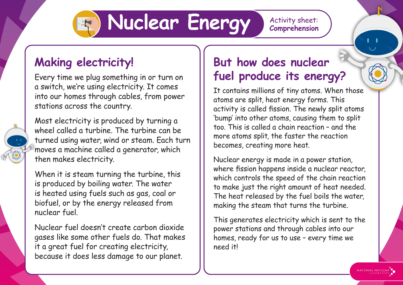## **Nuclear Energy** Activity sheet:

**Comprehension**

## **Making electricity!**

Every time we plug something in or turn on a switch, we're using electricity. It comes into our homes through cables, from power stations across the country.



Most electricity is produced by turning a wheel called a turbine. The turbine can be turned using water, wind or steam. Each turn moves a machine called a generator, which then makes electricity.

When it is steam turning the turbine, this is produced by boiling water. The water is heated using fuels such as gas, coal or biofuel, or by the energy released from nuclear fuel.

Nuclear fuel doesn't create carbon dioxide gases like some other fuels do. That makes it a great fuel for creating electricity, because it does less damage to our planet.

## **But how does nuclear fuel produce its energy?**

It contains millions of tiny atoms. When those atoms are split, heat energy forms. This activity is called fission. The newly split atoms 'bump' into other atoms, causing them to split too. This is called a chain reaction – and the more atoms split, the faster the reaction becomes, creating more heat.

Nuclear energy is made in a power station, where fission happens inside a nuclear reactor, which controls the speed of the chain reaction to make just the right amount of heat needed. The heat released by the fuel boils the water, making the steam that turns the turbine.

This generates electricity which is sent to the power stations and through cables into our homes, ready for us to use – every time we need it!